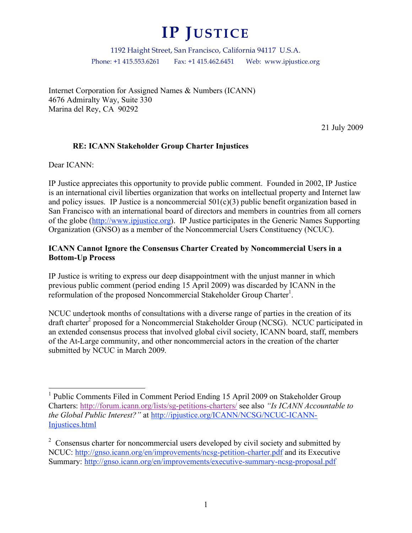# **IP JUSTICE**

1192 Haight Street, San Francisco, California 94117 U.S.A. Phone: +1 415.553.6261 Fax: +1 415.462.6451 Web: www.ipjustice.org

Internet Corporation for Assigned Names & Numbers (ICANN) 4676 Admiralty Way, Suite 330 Marina del Rey, CA 90292

21 July 2009

### **RE: ICANN Stakeholder Group Charter Injustices**

Dear ICANN:

IP Justice appreciates this opportunity to provide public comment. Founded in 2002, IP Justice is an international civil liberties organization that works on intellectual property and Internet law and policy issues. IP Justice is a noncommercial  $501(c)(3)$  public benefit organization based in San Francisco with an international board of directors and members in countries from all corners of the globe (http://www.ipjustice.org). IP Justice participates in the Generic Names Supporting Organization (GNSO) as a member of the Noncommercial Users Constituency (NCUC).

#### **ICANN Cannot Ignore the Consensus Charter Created by Noncommercial Users in a Bottom-Up Process**

IP Justice is writing to express our deep disappointment with the unjust manner in which previous public comment (period ending 15 April 2009) was discarded by ICANN in the reformulation of the proposed Noncommercial Stakeholder Group Charter<sup>1</sup>.

NCUC undertook months of consultations with a diverse range of parties in the creation of its draft charter 2 proposed for a Noncommercial Stakeholder Group (NCSG). NCUC participated in an extended consensus process that involved global civil society, ICANN board, staff, members of the At-Large community, and other noncommercial actors in the creation of the charter submitted by NCUC in March 2009.

<sup>&</sup>lt;sup>1</sup> Public Comments Filed in Comment Period Ending 15 April 2009 on Stakeholder Group Charters: http://forum.icann.org/lists/sg-petitions-charters/ see also *"Is ICANN Accountable to the Global Public Interest?"* at http://ipjustice.org/ICANN/NCSG/NCUC-ICANN-Injustices.html

<sup>&</sup>lt;sup>2</sup> Consensus charter for noncommercial users developed by civil society and submitted by NCUC: http://gnso.icann.org/en/improvements/ncsg-petition-charter.pdf and its Executive Summary: http://gnso.icann.org/en/improvements/executive-summary-ncsg-proposal.pdf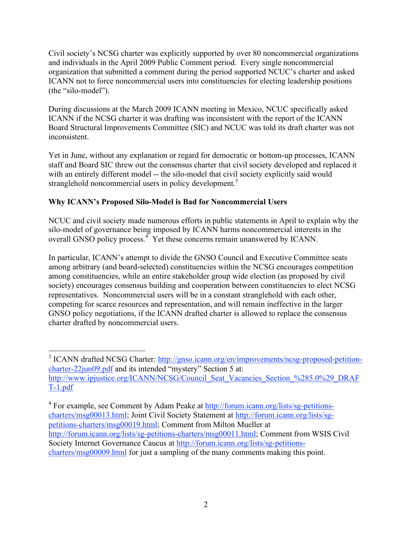Civil society's NCSG charter was explicitly supported by over 80 noncommercial organizations and individuals in the April 2009 Public Comment period. Every single noncommercial organization that submitted a comment during the period supported NCUC's charter and asked ICANN not to force noncommercial users into constituencies for electing leadership positions (the "silo-model").

During discussions at the March 2009 ICANN meeting in Mexico, NCUC specifically asked ICANN if the NCSG charter it was drafting was inconsistent with the report of the ICANN Board Structural Improvements Committee (SIC) and NCUC was told its draft charter was not inconsistent.

Yet in June, without any explanation or regard for democratic or bottom-up processes, ICANN staff and Board SIC threw out the consensus charter that civil society developed and replaced it with an entirely different model -- the silo-model that civil society explicitly said would stranglehold noncommercial users in policy development.<sup>3</sup>

# **Why ICANN's Proposed Silo-Model is Bad for Noncommercial Users**

NCUC and civil society made numerous efforts in public statements in April to explain why the silo-model of governance being imposed by ICANN harms noncommercial interests in the overall GNSO policy process.<sup>4</sup> Yet these concerns remain unanswered by ICANN.

In particular, ICANN's attempt to divide the GNSO Council and Executive Committee seats among arbitrary (and board-selected) constituencies within the NCSG encourages competition among constituencies, while an entire stakeholder group wide election (as proposed by civil society) encourages consensus building and cooperation between constituencies to elect NCSG representatives. Noncommercial users will be in a constant stranglehold with each other, competing for scarce resources and representation, and will remain ineffective in the larger GNSO policy negotiations, if the ICANN drafted charter is allowed to replace the consensus charter drafted by noncommercial users.

<sup>&</sup>lt;sup>3</sup> ICANN drafted NCSG Charter: http://gnso.icann.org/en/improvements/ncsg-proposed-petitioncharter-22jun09.pdf and its intended "mystery" Section 5 at: http://www.ipjustice.org/ICANN/NCSG/Council\_Seat\_Vacancies\_Section\_%285.0%29\_DRAF T-1.pdf

<sup>&</sup>lt;sup>4</sup> For example, see Comment by Adam Peake at http://forum.icann.org/lists/sg-petitionscharters/msg00013.html; Joint Civil Society Statement at http://forum.icann.org/lists/sgpetitions-charters/msg00019.html; Comment from Milton Mueller at http://forum.icann.org/lists/sg-petitions-charters/msg00011.html; Comment from WSIS Civil Society Internet Governance Caucus at http://forum.icann.org/lists/sg-petitionscharters/msg00009.html for just a sampling of the many comments making this point.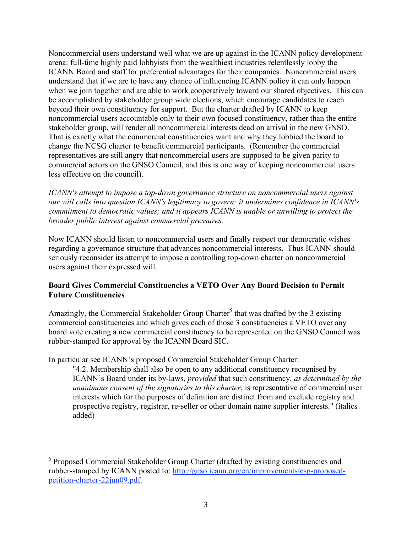Noncommercial users understand well what we are up against in the ICANN policy development arena: full-time highly paid lobbyists from the wealthiest industries relentlessly lobby the ICANN Board and staff for preferential advantages for their companies. Noncommercial users understand that if we are to have any chance of influencing ICANN policy it can only happen when we join together and are able to work cooperatively toward our shared objectives. This can be accomplished by stakeholder group wide elections, which encourage candidates to reach beyond their own constituency for support. But the charter drafted by ICANN to keep noncommercial users accountable only to their own focused constituency, rather than the entire stakeholder group, will render all noncommercial interests dead on arrival in the new GNSO. That is exactly what the commercial constituencies want and why they lobbied the board to change the NCSG charter to benefit commercial participants. (Remember the commercial representatives are still angry that noncommercial users are supposed to be given parity to commercial actors on the GNSO Council, and this is one way of keeping noncommercial users less effective on the council).

*ICANN's attempt to impose a top-down governance structure on noncommercial users against our will calls into question ICANN's legitimacy to govern; it undermines confidence in ICANN's commitment to democratic values; and it appears ICANN is unable or unwilling to protect the broader public interest against commercial pressures.*

Now ICANN should listen to noncommercial users and finally respect our democratic wishes regarding a governance structure that advances noncommercial interests. Thus ICANN should seriously reconsider its attempt to impose a controlling top-down charter on noncommercial users against their expressed will.

## **Board Gives Commercial Constituencies a VETO Over Any Board Decision to Permit Future Constituencies**

Amazingly, the Commercial Stakeholder Group Charter<sup>5</sup> that was drafted by the 3 existing commercial constituencies and which gives each of those 3 constituencies a VETO over any board vote creating a new commercial constituency to be represented on the GNSO Council was rubber-stamped for approval by the ICANN Board SIC.

In particular see ICANN's proposed Commercial Stakeholder Group Charter:

"4.2. Membership shall also be open to any additional constituency recognised by ICANN's Board under its by-laws, *provided* that such constituency, *as determined by the unanimous consent of the signatories to this charter*, is representative of commercial user interests which for the purposes of definition are distinct from and exclude registry and prospective registry, registrar, re-seller or other domain name supplier interests." (italics added)

 <sup>5</sup> Proposed Commercial Stakeholder Group Charter (drafted by existing constituencies and rubber-stamped by ICANN posted to: http://gnso.icann.org/en/improvements/csg-proposedpetition-charter-22jun09.pdf.